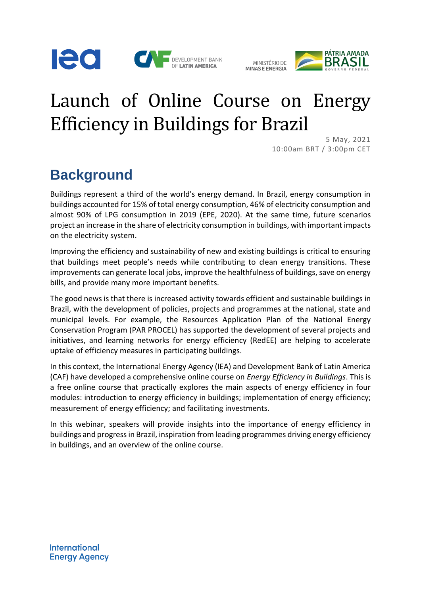





## Launch of Online Course on Energy Efficiency in Buildings for Brazil

5 May, 2021 10:00am BRT / 3:00pm CET

## **Background**

Buildings represent a third of the world's energy demand. In Brazil, energy consumption in buildings accounted for 15% of total energy consumption, 46% of electricity consumption and almost 90% of LPG consumption in 2019 (EPE, 2020). At the same time, future scenarios project an increase in the share of electricity consumption in buildings, with important impacts on the electricity system.

Improving the efficiency and sustainability of new and existing buildings is critical to ensuring that buildings meet people's needs while contributing to clean energy transitions. These improvements can generate local jobs, improve the healthfulness of buildings, save on energy bills, and provide many more important benefits.

The good news is that there is increased activity towards efficient and sustainable buildings in Brazil, with the development of policies, projects and programmes at the national, state and municipal levels. For example, the Resources Application Plan of the National Energy Conservation Program (PAR PROCEL) has supported the development of several projects and initiatives, and learning networks for energy efficiency (RedEE) are helping to accelerate uptake of efficiency measures in participating buildings.

In this context, the International Energy Agency (IEA) and Development Bank of Latin America (CAF) have developed a comprehensive online course on *Energy Efficiency in Buildings*. This is a free online course that practically explores the main aspects of energy efficiency in four modules: introduction to energy efficiency in buildings; implementation of energy efficiency; measurement of energy efficiency; and facilitating investments.

In this webinar, speakers will provide insights into the importance of energy efficiency in buildings and progress in Brazil, inspiration from leading programmes driving energy efficiency in buildings, and an overview of the online course.

**International Energy Agency**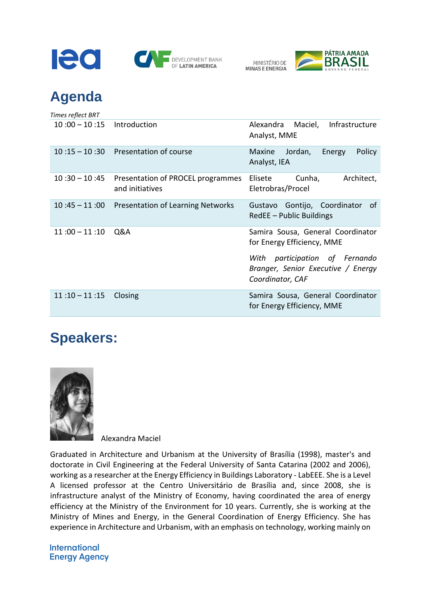



## **Agenda**

| Times reflect BRT |                                                      |                                                                                                                                                                |
|-------------------|------------------------------------------------------|----------------------------------------------------------------------------------------------------------------------------------------------------------------|
| $10:00 - 10:15$   | Introduction                                         | Alexandra Maciel,<br>Infrastructure<br>Analyst, MME                                                                                                            |
| $10:15 - 10:30$   | Presentation of course                               | Jordan,<br>Policy<br>Maxine<br>Energy<br>Analyst, IEA                                                                                                          |
| $10:30 - 10:45$   | Presentation of PROCEL programmes<br>and initiatives | Cunha,<br>Architect,<br>Elisete<br>Eletrobras/Procel                                                                                                           |
| $10:45 - 11:00$   | <b>Presentation of Learning Networks</b>             | Gustavo Gontijo, Coordinator<br>_of<br>RedEE - Public Buildings                                                                                                |
| $11:00 - 11:10$   | Q&A                                                  | Samira Sousa, General Coordinator<br>for Energy Efficiency, MME<br>participation of Fernando<br>With<br>Branger, Senior Executive / Energy<br>Coordinator, CAF |
| $11:10 - 11:15$   | Closing                                              | Samira Sousa, General Coordinator<br>for Energy Efficiency, MME                                                                                                |

## **Speakers:**



Alexandra Maciel

Graduated in Architecture and Urbanism at the University of Brasília (1998), master's and doctorate in Civil Engineering at the Federal University of Santa Catarina (2002 and 2006), working as a researcher at the Energy Efficiency in Buildings Laboratory - LabEEE. She is a Level A licensed professor at the Centro Universitário de Brasília and, since 2008, she is infrastructure analyst of the Ministry of Economy, having coordinated the area of energy efficiency at the Ministry of the Environment for 10 years. Currently, she is working at the Ministry of Mines and Energy, in the General Coordination of Energy Efficiency. She has experience in Architecture and Urbanism, with an emphasis on technology, working mainly on

**International Energy Agency**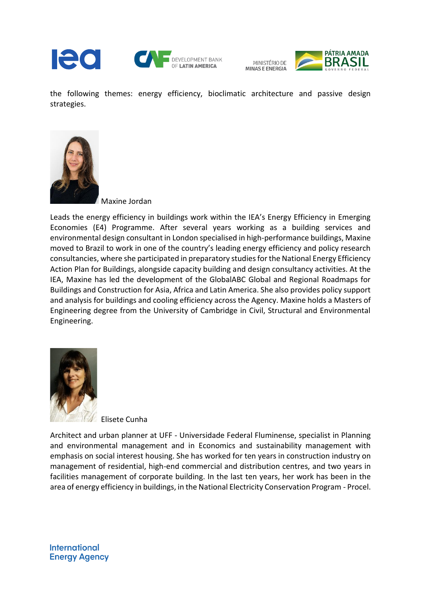

MINISTÉRIO DE MINAS E ENERGIA



the following themes: energy efficiency, bioclimatic architecture and passive design strategies.



Maxine Jordan

Leads the energy efficiency in buildings work within the IEA's Energy Efficiency in Emerging Economies (E4) Programme. After several years working as a building services and environmental design consultant in London specialised in high-performance buildings, Maxine moved to Brazil to work in one of the country's leading energy efficiency and policy research consultancies, where she participated in preparatory studies for the National Energy Efficiency Action Plan for Buildings, alongside capacity building and design consultancy activities. At the IEA, Maxine has led the development of the GlobalABC Global and Regional Roadmaps for Buildings and Construction for Asia, Africa and Latin America. She also provides policy support and analysis for buildings and cooling efficiency across the Agency. Maxine holds a Masters of Engineering degree from the University of Cambridge in Civil, Structural and Environmental Engineering.



Elisete Cunha

Architect and urban planner at UFF - Universidade Federal Fluminense, specialist in Planning and environmental management and in Economics and sustainability management with emphasis on social interest housing. She has worked for ten years in construction industry on management of residential, high-end commercial and distribution centres, and two years in facilities management of corporate building. In the last ten years, her work has been in the area of energy efficiency in buildings, in the National Electricity Conservation Program - Procel.